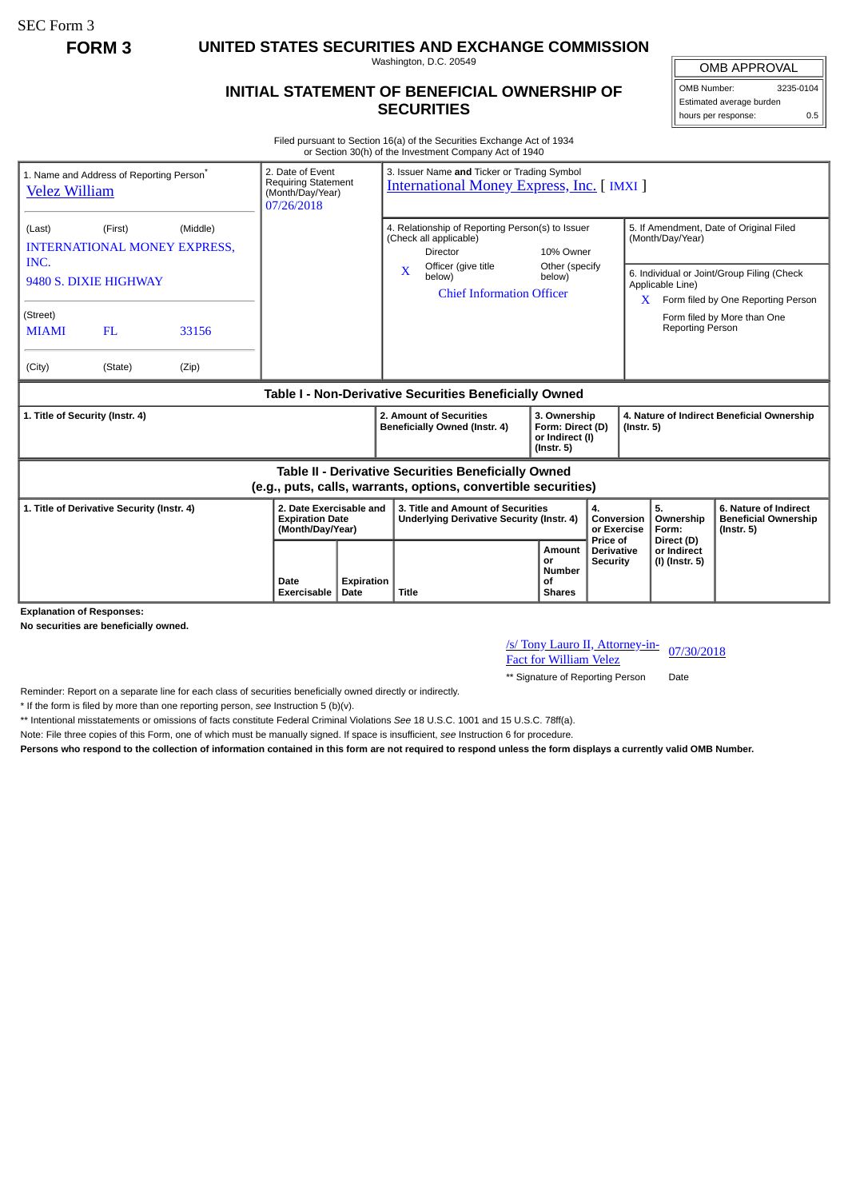SEC Form 3

**FORM 3 UNITED STATES SECURITIES AND EXCHANGE COMMISSION**

Washington, D.C. 20549

## **INITIAL STATEMENT OF BENEFICIAL OWNERSHIP OF SECURITIES**

OMB APPROVAL OMB Number: 3235-0104

Estimated average burden hours per response: 0.5

Filed pursuant to Section 16(a) of the Securities Exchange Act of 1934 or Section 30(h) of the Investment Company Act of 1940

| 1. Name and Address of Reporting Person <sup>®</sup><br><b>Velez William</b>                                          |         |       | 2. Date of Event<br>(Month/Day/Year)<br>07/26/2018                    | 3. Issuer Name and Ticker or Trading Symbol<br><b>Requiring Statement</b><br><b>International Money Express, Inc. [IMXI]</b>        |                                                                                                                      |                                  |                                                                |                                                             |                                                                                                                      |                                                                          |
|-----------------------------------------------------------------------------------------------------------------------|---------|-------|-----------------------------------------------------------------------|-------------------------------------------------------------------------------------------------------------------------------------|----------------------------------------------------------------------------------------------------------------------|----------------------------------|----------------------------------------------------------------|-------------------------------------------------------------|----------------------------------------------------------------------------------------------------------------------|--------------------------------------------------------------------------|
| (First)<br>(Middle)<br>(Last)<br><b>INTERNATIONAL MONEY EXPRESS.</b><br>INC.                                          |         |       |                                                                       |                                                                                                                                     | 4. Relationship of Reporting Person(s) to Issuer<br>(Check all applicable)<br><b>Director</b><br>Officer (give title | 10% Owner                        |                                                                | 5. If Amendment, Date of Original Filed<br>(Month/Day/Year) |                                                                                                                      |                                                                          |
| 9480 S. DIXIE HIGHWAY                                                                                                 |         |       |                                                                       |                                                                                                                                     | $\overline{\mathbf{X}}$<br>below)                                                                                    | <b>Chief Information Officer</b> | Other (specify<br>below)                                       |                                                             | 6. Individual or Joint/Group Filing (Check<br>Applicable Line)<br>Form filed by One Reporting Person<br>$\mathbf{x}$ |                                                                          |
| (Street)<br><b>MIAMI</b>                                                                                              | FL      | 33156 |                                                                       |                                                                                                                                     |                                                                                                                      |                                  |                                                                |                                                             | <b>Reporting Person</b>                                                                                              | Form filed by More than One                                              |
| (City)                                                                                                                | (State) | (Zip) |                                                                       |                                                                                                                                     |                                                                                                                      |                                  |                                                                |                                                             |                                                                                                                      |                                                                          |
| Table I - Non-Derivative Securities Beneficially Owned                                                                |         |       |                                                                       |                                                                                                                                     |                                                                                                                      |                                  |                                                                |                                                             |                                                                                                                      |                                                                          |
| 1. Title of Security (Instr. 4)                                                                                       |         |       |                                                                       | 2. Amount of Securities<br>3. Ownership<br>Beneficially Owned (Instr. 4)<br>Form: Direct (D)<br>or Indirect (I)<br>$($ lnstr. 5 $)$ |                                                                                                                      |                                  | 4. Nature of Indirect Beneficial Ownership<br>$($ Instr. 5 $)$ |                                                             |                                                                                                                      |                                                                          |
| Table II - Derivative Securities Beneficially Owned<br>(e.g., puts, calls, warrants, options, convertible securities) |         |       |                                                                       |                                                                                                                                     |                                                                                                                      |                                  |                                                                |                                                             |                                                                                                                      |                                                                          |
| 1. Title of Derivative Security (Instr. 4)                                                                            |         |       | 2. Date Exercisable and<br><b>Expiration Date</b><br>(Month/Day/Year) |                                                                                                                                     | 3. Title and Amount of Securities<br>Underlying Derivative Security (Instr. 4)                                       |                                  | 4.<br>Conversion<br>or Exercise                                |                                                             | 5.<br>Ownership<br>Form:                                                                                             | 6. Nature of Indirect<br><b>Beneficial Ownership</b><br>$($ lnstr. 5 $)$ |
|                                                                                                                       |         |       |                                                                       |                                                                                                                                     |                                                                                                                      |                                  | Amount                                                         | Price of<br>Derivative                                      | Direct (D)<br>or Indirect                                                                                            |                                                                          |

**Explanation of Responses:**

**No securities are beneficially owned.**

/s/ Tony Lauro II, Attorney-in-<u>*SI*</u> Tony Lauro II, Attorney-III-<br>Fact for William Velez 07/30/2018

\*\* Signature of Reporting Person Date

Reminder: Report on a separate line for each class of securities beneficially owned directly or indirectly.

\* If the form is filed by more than one reporting person, *see* Instruction 5 (b)(v).

\*\* Intentional misstatements or omissions of facts constitute Federal Criminal Violations *See* 18 U.S.C. 1001 and 15 U.S.C. 78ff(a).

Note: File three copies of this Form, one of which must be manually signed. If space is insufficient, *see* Instruction 6 for procedure.

**Persons who respond to the collection of information contained in this form are not required to respond unless the form displays a currently valid OMB Number.**